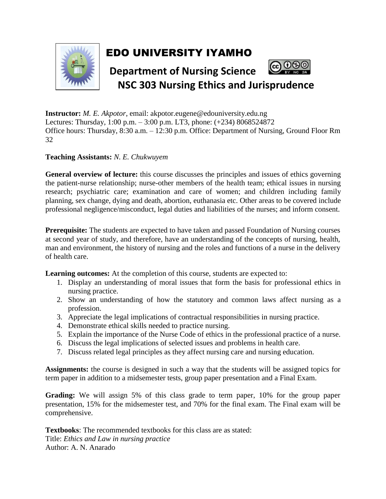

## EDO UNIVERSITY IYAMHO



**Instructor:** *M. E. Akpotor*, email: akpotor.eugene@edouniversity.edu.ng Lectures: Thursday, 1:00 p.m. – 3:00 p.m. LT3, phone: (+234) 8068524872 Office hours: Thursday, 8:30 a.m. – 12:30 p.m. Office: Department of Nursing, Ground Floor Rm 32

## **Teaching Assistants:** *N. E. Chukwuyem*

**General overview of lecture:** this course discusses the principles and issues of ethics governing the patient-nurse relationship; nurse-other members of the health team; ethical issues in nursing research; psychiatric care; examination and care of women; and children including family planning, sex change, dying and death, abortion, euthanasia etc. Other areas to be covered include professional negligence/misconduct, legal duties and liabilities of the nurses; and inform consent.

**Prerequisite:** The students are expected to have taken and passed Foundation of Nursing courses at second year of study, and therefore, have an understanding of the concepts of nursing, health, man and environment, the history of nursing and the roles and functions of a nurse in the delivery of health care.

**Learning outcomes:** At the completion of this course, students are expected to:

- 1. Display an understanding of moral issues that form the basis for professional ethics in nursing practice.
- 2. Show an understanding of how the statutory and common laws affect nursing as a profession.
- 3. Appreciate the legal implications of contractual responsibilities in nursing practice.
- 4. Demonstrate ethical skills needed to practice nursing.
- 5. Explain the importance of the Nurse Code of ethics in the professional practice of a nurse.
- 6. Discuss the legal implications of selected issues and problems in health care.
- 7. Discuss related legal principles as they affect nursing care and nursing education.

**Assignments:** the course is designed in such a way that the students will be assigned topics for term paper in addition to a midsemester tests, group paper presentation and a Final Exam.

**Grading:** We will assign 5% of this class grade to term paper, 10% for the group paper presentation, 15% for the midsemester test, and 70% for the final exam. The Final exam will be comprehensive.

**Textbooks**: The recommended textbooks for this class are as stated: Title: *Ethics and Law in nursing practice* Author: A. N. Anarado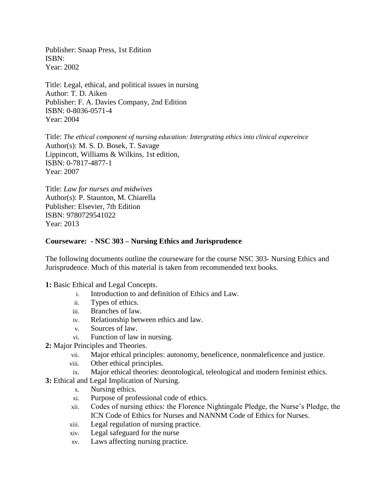Publisher: Snaap Press, 1st Edition ISBN: Year: 2002

Title: Legal, ethical, and political issues in nursing Author: T. D. Aiken Publisher: F. A. Davies Company, 2nd Edition ISBN: 0-8036-0571-4 Year: 2004

Title: *The ethical component of nursing education: Intergrating ethics into clinical expereince* Author(s): M. S. D. Bosek, T. Savage Lippincott, Williams & Wilkins, 1st edition, ISBN: 0-7817-4877-1 Year: 2007

Title: *Law for nurses and midwives* Author(s): P. Staunton, M. Chiarella Publisher: Elsevier, 7th Edition ISBN: 9780729541022 Year: 2013

## **Courseware: - NSC 303 – Nursing Ethics and Jurisprudence**

The following documents outline the courseware for the course NSC 303- Nursing Ethics and Jurisprudence. Much of this material is taken from recommended text books.

**1:** Basic Ethical and Legal Concepts.

- i. Introduction to and definition of Ethics and Law.
- ii. Types of ethics.
- iii. Branches of law.
- iv. Relationship between ethics and law.
- v. Sources of law.
- vi. Function of law in nursing.
- **2:** Major Principles and Theories.
	- vii. Major ethical principles: autonomy, beneficence, nonmaleficence and justice.
	- viii. Other ethical principles.
	- ix. Major ethical theories: deontological, teleological and modern feminist ethics.
- **3:** Ethical and Legal Implication of Nursing.
	- x. Nursing ethics.
	- xi. Purpose of professional code of ethics.
	- xii. Codes of nursing ethics: the Florence Nightingale Pledge, the Nurse's Pledge, the ICN Code of Ethics for Nurses and NANNM Code of Ethics for Nurses.
	- xiii. Legal regulation of nursing practice.
	- xiv. Legal safeguard for the nurse
	- xv. Laws affecting nursing practice.